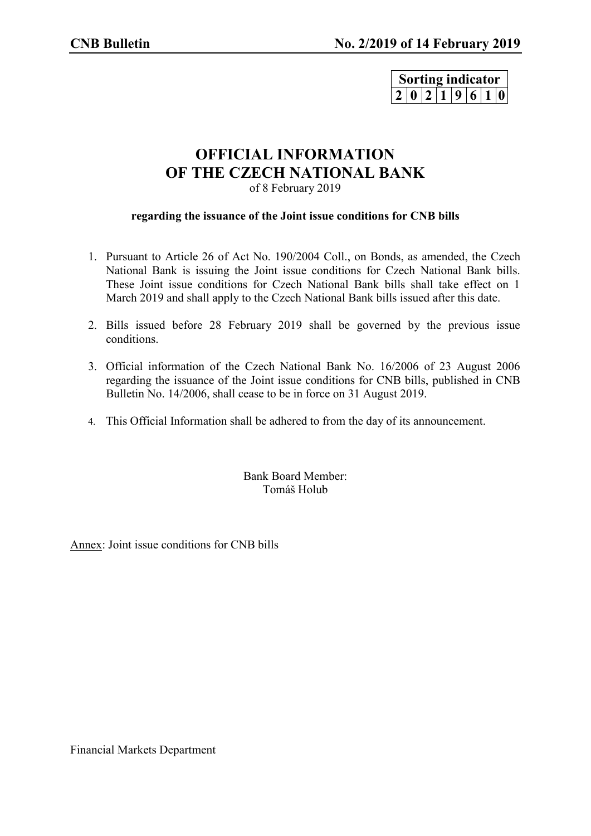| Sorting indicator |                 |  |  |  |  |  |  |
|-------------------|-----------------|--|--|--|--|--|--|
|                   | 2 0 2 1 9 6 1 0 |  |  |  |  |  |  |

## **OFFICIAL INFORMATION OF THE CZECH NATIONAL BANK** of 8 February 2019

## **regarding the issuance of the Joint issue conditions for CNB bills**

- 1. Pursuant to Article 26 of Act No. 190/2004 Coll., on Bonds, as amended, the Czech National Bank is issuing the Joint issue conditions for Czech National Bank bills. These Joint issue conditions for Czech National Bank bills shall take effect on 1 March 2019 and shall apply to the Czech National Bank bills issued after this date.
- 2. Bills issued before 28 February 2019 shall be governed by the previous issue conditions.
- 3. Official information of the Czech National Bank No. 16/2006 of 23 August 2006 regarding the issuance of the Joint issue conditions for CNB bills, published in CNB Bulletin No. 14/2006, shall cease to be in force on 31 August 2019.
- 4. This Official Information shall be adhered to from the day of its announcement.

Bank Board Member: Tomáš Holub

Annex: Joint issue conditions for CNB bills

Financial Markets Department